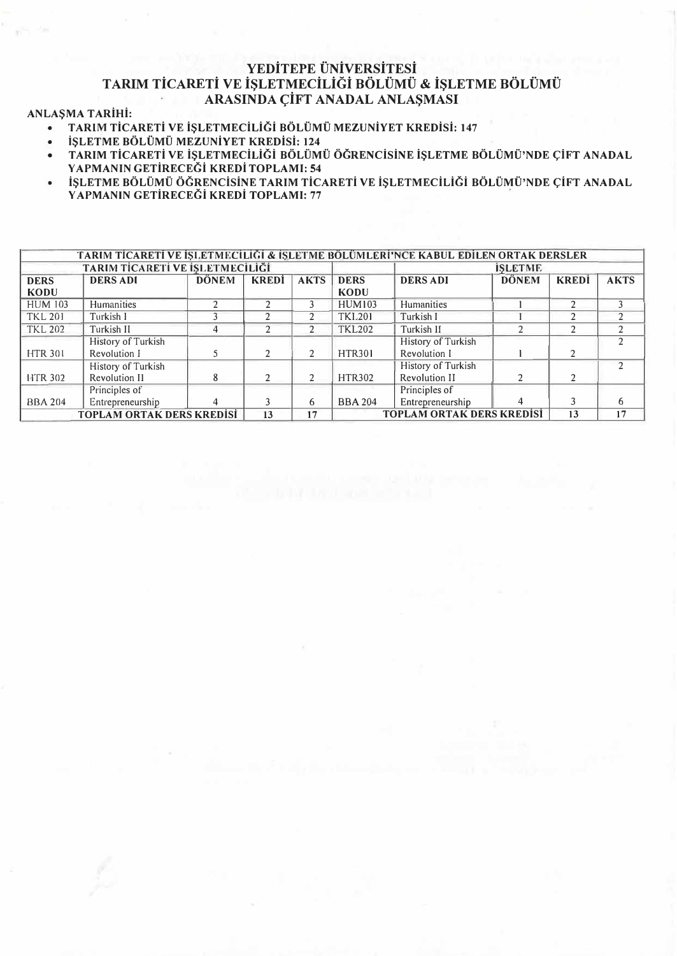### **YEDiTEPE UNiVERSiTESi TARIM TiCARETi VE i�LETMECiLiGi BOLUMU & i�LETME BOLUMU**  ARASINDA CIFT ANADAL ANLAŞMASI

#### **AN LAS MA T ARiHi:**

- **• TARIM TiCARETi VE iSLETMECiLiGi BOLUMU MEZUNiYET KREDiSi: 147**
- **• iSLETME BOLUMU MEZUNiYET KREDiSi: 124**
- **•** TARIM TİCARETİ VE İŞLETMECİLİĞİ BÖLÜMÜ ÖĞRENCİSINE İŞLETME BÖLÜMÜ'NDE ÇİFT ANADAL **Y APMANIN GETiRECEGi KREDi TOPLAMI: 54**
- **İSLETME BÖLÜMÜ ÖĞRENCİSINE TARIM TİCARETİ VE İSLETMECİLİĞİ BÖLÜMÜ'NDE CİFT ANADAL Y APMANIN GETiRECEGi KREDi TOPLAMI: 77**

| TARIM TİCARETİ VE İŞLETMECILIĞI & İŞLETME BÖLÜMLERI'NCE KABUL EDİLEN ORTAK DERSLER |                    |              |              |             |                                  |                    |              |              |             |
|------------------------------------------------------------------------------------|--------------------|--------------|--------------|-------------|----------------------------------|--------------------|--------------|--------------|-------------|
| TARIM TİCARETİ VE İŞLETMECİLİĞİ                                                    |                    |              |              |             | <b>ISLETME</b>                   |                    |              |              |             |
| <b>DERS</b>                                                                        | <b>DERS ADI</b>    | <b>DÖNEM</b> | <b>KREDİ</b> | <b>AKTS</b> | <b>DERS</b>                      | <b>DERS ADI</b>    | <b>DÖNEM</b> | <b>KREDİ</b> | <b>AKTS</b> |
| <b>KODU</b>                                                                        |                    |              |              |             | <b>KODU</b>                      |                    |              |              |             |
| <b>HUM 103</b>                                                                     | Humanities         |              |              |             | <b>HUM103</b>                    | Humanities         |              |              |             |
| <b>TKL 201</b>                                                                     | Turkish I          |              |              |             | <b>TKL201</b>                    | Turkish I          |              |              |             |
| <b>TKL 202</b>                                                                     | Turkish II         |              |              |             | <b>TKL202</b>                    | Turkish II         |              |              |             |
|                                                                                    | History of Turkish |              |              |             |                                  | History of Turkish |              |              |             |
| <b>HTR 301</b>                                                                     | Revolution I       |              |              |             | <b>HTR301</b>                    | Revolution I       |              |              |             |
|                                                                                    | History of Turkish |              |              |             |                                  | History of Turkish |              |              |             |
| <b>HTR 302</b>                                                                     | Revolution II      |              |              |             | <b>HTR302</b>                    | Revolution II      |              |              |             |
|                                                                                    | Principles of      |              |              |             |                                  | Principles of      |              |              |             |
| <b>BBA 204</b>                                                                     | Entrepreneurship   |              |              | 6           | <b>BBA 204</b>                   | Entrepreneurship   |              |              | 6           |
| <b>TOPLAM ORTAK DERS KREDISI</b>                                                   |                    |              | 13           | 17          | <b>TOPLAM ORTAK DERS KREDISİ</b> |                    |              | 13           | 17          |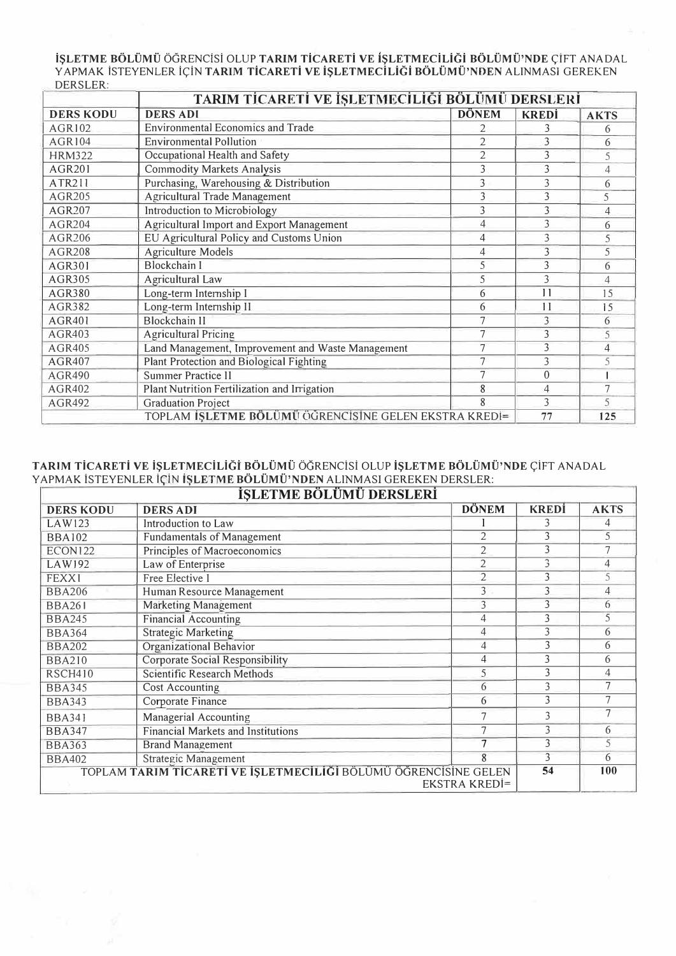**iŞLETME BÖLÜMÜ ÖGRENCISI OLUP TARIM TİCARETİ VE İŞLETMECILIĞI BÖLÜMÜ'NDE ÇİFT ANADAL** YAPMAK ISTEYENLER IÇIN **TARIM TICARETI VE IŞLETMECILIĞI BÖLÜMÜ'NDEN** ALINMASI GEREKEN DERSLER:

|                  | TARIM TİCARETİ VE İŞLETMECİLİĞİ BÖLÜMÜ DERSLERİ       |                |                          |                |  |
|------------------|-------------------------------------------------------|----------------|--------------------------|----------------|--|
| <b>DERS KODU</b> | <b>DERS ADI</b>                                       | <b>DÖNEM</b>   | <b>KREDI</b>             | <b>AKTS</b>    |  |
| AGR102           | <b>Environmental Economics and Trade</b>              | $\overline{2}$ | 3                        | 6              |  |
| AGR104           | <b>Environmental Pollution</b>                        | $\overline{2}$ | 3                        | 6              |  |
| <b>HRM322</b>    | Occupational Health and Safety                        | $\overline{c}$ | 3                        | 5              |  |
| <b>AGR201</b>    | <b>Commodity Markets Analysis</b>                     | 3              | 3                        | $\overline{4}$ |  |
| ATR211           | Purchasing, Warehousing & Distribution                | 3              | 3                        | 6              |  |
| AGR205           | Agricultural Trade Management                         | 3              | $\overline{\mathcal{E}}$ | 5              |  |
| AGR207           | Introduction to Microbiology                          | 3              | $\overline{\mathcal{E}}$ | 4              |  |
| AGR204           | Agricultural Import and Export Management             | $\overline{4}$ | 3                        | 6              |  |
| AGR206           | EU Agricultural Policy and Customs Union              | 4              | 3                        | 5              |  |
| <b>AGR208</b>    | <b>Agriculture Models</b>                             | 4              | 3                        | 5              |  |
| <b>AGR301</b>    | <b>Blockchain I</b>                                   | 5              | 3                        | 6              |  |
| AGR305           | Agricultural Law                                      | 5              | 3                        | 4              |  |
| AGR380           | Long-term Internship I                                | 6              | 11                       | 1.5            |  |
| AGR382           | Long-term Internship II                               | 6              | 1 <sub>1</sub>           | 15             |  |
| <b>AGR401</b>    | <b>Blockchain II</b>                                  |                | 3                        | 6              |  |
| <b>AGR403</b>    | <b>Agricultural Pricing</b>                           |                | 3                        | 5              |  |
| <b>AGR405</b>    | Land Management, Improvement and Waste Management     | 7              | 3                        | 4              |  |
| <b>AGR407</b>    | Plant Protection and Biological Fighting              | 7              | 3                        | 5              |  |
| <b>AGR490</b>    | Summer Practice II                                    |                | $\theta$                 |                |  |
| AGR402           | Plant Nutrition Fertilization and Irrigation          | 4              | 7                        |                |  |
| AGR492           | <b>Graduation Project</b>                             | 8              | 3                        | 5              |  |
|                  | TOPLAM İŞLETME BÖLÜMÜ ÖĞRENCISİNE GELEN EKSTRA KREDI= |                | 77                       | 125            |  |

#### TARIM TİCARETİ VE İŞLETMECİLIĞİ BÖLÜMÜ ÖĞRENCISI OLUP İŞLETME BÖLÜMÜ'NDE ÇİFT ANADAL YAPMAK iSTEYENLER iQiN **iSLETME BOLUMU'NDEN** ALINMASI GEREKEN DERSLER:

| <b>DERS KODU</b> | <b>DÖNEM</b><br><b>DERS ADI</b>                                 |                      |    |     |  |
|------------------|-----------------------------------------------------------------|----------------------|----|-----|--|
| LAW123           | Introduction to Law                                             |                      |    | 4   |  |
| <b>BBA102</b>    | <b>Fundamentals of Management</b>                               |                      | 3  |     |  |
| <b>ECON122</b>   | Principles of Macroeconomics                                    | 2                    | 3  |     |  |
| LAW192           | Law of Enterprise                                               | $\overline{2}$       | 3  | 4   |  |
| FEXX1            | Free Elective I                                                 | 2                    | 3  | 5   |  |
| <b>BBA206</b>    | Human Resource Management                                       | 3                    | 3  | 4   |  |
| <b>BBA261</b>    | <b>Marketing Management</b>                                     | 3                    | 3  | 6   |  |
| <b>BBA245</b>    | <b>Financial Accounting</b>                                     | 4                    | 3  | 5   |  |
| <b>BBA364</b>    | <b>Strategic Marketing</b>                                      | 4                    | 3  | 6   |  |
| <b>BBA202</b>    | Organizational Behavior                                         | 4                    | 3  | 6   |  |
| <b>BBA210</b>    | <b>Corporate Social Responsibility</b>                          | 4                    | 3  | 6   |  |
| <b>RSCH410</b>   | Scientific Research Methods                                     | 5                    | 3  | 4   |  |
| <b>BBA345</b>    | Cost Accounting                                                 | 6                    | 3  | 7   |  |
| <b>BBA343</b>    | Corporate Finance                                               | 6                    | 3  |     |  |
| <b>BBA341</b>    | Managerial Accounting                                           |                      | 3  |     |  |
| <b>BBA347</b>    | <b>Financial Markets and Institutions</b>                       |                      | 3  | 6   |  |
| <b>BBA363</b>    | <b>Brand Management</b>                                         |                      | 3  | 5   |  |
| <b>BBA402</b>    | 8<br>Strategic Management                                       |                      |    |     |  |
|                  | TOPLAM TARIM TİCARETİ VE İŞLETMECİLİĞİ BÖLÜMÜ ÖĞRENCİSİNE GELEN | <b>EKSTRA KREDİ=</b> | 54 | 100 |  |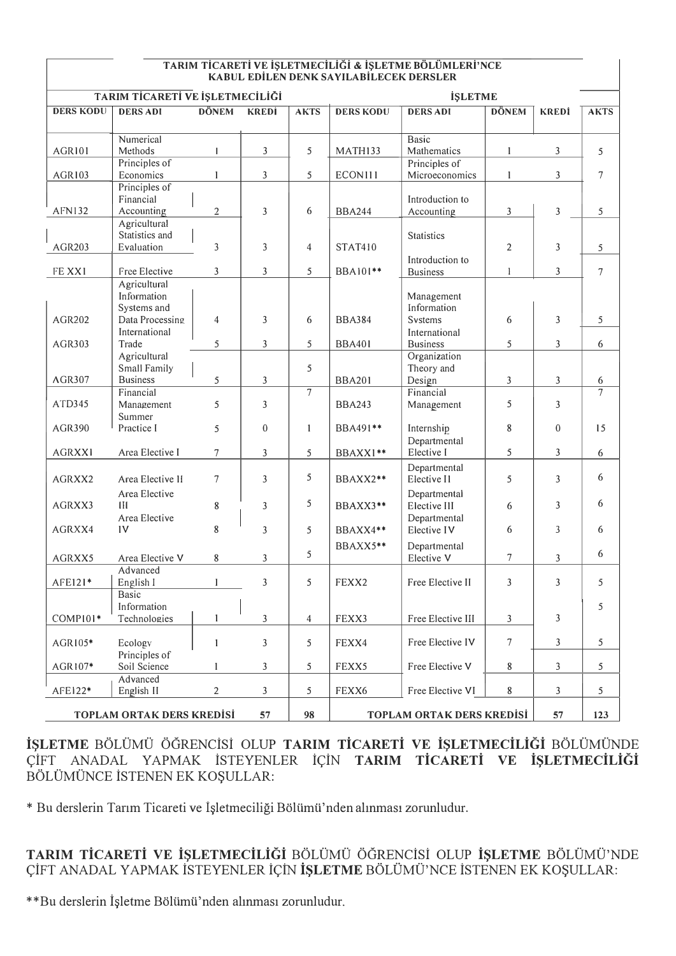| TARIM TİCARETİ VE İŞLETMECİLİĞİ & İŞLETME BÖLÜMLERİ'NCE |  |
|---------------------------------------------------------|--|
| KABUL EDİLEN DENK SAYILABİLECEK DERSLER                 |  |

| TARIM TİCARETİ VE İŞLETMECİLİĞİ |                                                               |                |              | <b>İŞLETME</b>                  |                  |                                             |                |                |             |
|---------------------------------|---------------------------------------------------------------|----------------|--------------|---------------------------------|------------------|---------------------------------------------|----------------|----------------|-------------|
| <b>DERS KODU</b>                | <b>DERS ADI</b>                                               | <b>DÖNEM</b>   | <b>KREDI</b> | <b>AKTS</b>                     | <b>DERS KODU</b> | <b>DERS ADI</b>                             | <b>DÖNEM</b>   | <b>KREDİ</b>   | <b>AKTS</b> |
| AGR101                          | Numerical<br>Methods                                          | $\mathbf{I}$   | 3            | 5                               | MATH133          | <b>Basic</b><br>Mathematics                 | 1              | 3              | 5           |
| AGR103                          | Principles of<br>Economics                                    | 1              | 3            | 5                               | ECONI11          | Principles of<br>Microeconomics             | 1              | 3              | $\tau$      |
|                                 | Principles of<br>Financial                                    |                |              |                                 |                  | Introduction to                             |                |                |             |
| AFN132                          | Accounting                                                    | $\overline{2}$ | 3            | 6                               | <b>BBA244</b>    | Accounting                                  | 3              | 3              | 5           |
| AGR203                          | Agricultural<br>Statistics and<br>Evaluation                  | 3              | 3            | $\overline{4}$                  | <b>STAT410</b>   | Statistics                                  | $\overline{2}$ | 3              | 5           |
| FE XX1                          | Free Elective                                                 | 3              | 3            | 5                               | BBA101**         | Introduction to<br><b>Business</b>          | 1              | $\overline{3}$ | $\tau$      |
| <b>AGR202</b>                   | Agricultural<br>Information<br>Systems and<br>Data Processing | 4              | 3            | 6                               | <b>BBA384</b>    | Management<br>Information<br><b>Systems</b> | 6              | 3              | 5           |
| AGR303                          | International<br>Trade                                        | 5              | 3            | 5                               | <b>BBA401</b>    | International<br><b>Business</b>            | 5              | 3              | 6           |
| <b>AGR307</b>                   | Agricultural<br>Small Family<br><b>Business</b>               | 5              | 3            | 5                               | <b>BBA201</b>    | Organization<br>Theory and<br>Design        | 3              | 3              | 6           |
|                                 | Financial                                                     |                |              | $\tau$                          |                  | Financial                                   |                |                | 7           |
| ATD345                          | Management<br>Summer                                          | 5              | 3            |                                 | <b>BBA243</b>    | Management                                  | 5              | 3              |             |
| <b>AGR390</b>                   | Practice I                                                    | 5              | $\theta$     | 1                               | BBA491**         | Internship<br>Departmental                  | 8              | $\theta$       | 15          |
| <b>AGRXX1</b>                   | Area Elective I                                               | 7              | 3            | 5                               | BBAXX1**         | Elective I                                  | 5              | 3              | 6           |
| AGRXX2                          | Area Elective II                                              | 7              | 3            | 5                               | BBAXX2**         | Departmental<br>Elective II                 | 5              | 3              | 6           |
| AGRXX3                          | Area Elective<br>Ш                                            | 8              | 3            | 5                               | BBAXX3**         | Departmental<br>Elective III                | 6              | 3              | 6           |
| AGRXX4                          | Area Elective<br>1 <sup>V</sup>                               | 8              | 3            | 5                               | BBAXX4**         | Departmental<br>Elective IV                 | 6              | 3              | 6           |
| AGRXX5                          | Area Elective V                                               | 8              | 3            | 5                               | BBAXX5**         | Departmental<br>Elective V                  | 7              | 3              | 6           |
| AFE121*                         | Advanced<br>English I                                         | 1              | 3            | 5                               | FEXX2            | Free Elective II                            | 3              | 3              | 5           |
| COMPI01*                        | Basic<br>Information<br>Technologies                          | 1              | 3            | 4                               | FEXX3            | Free Elective III                           | 3              | 3              | 5           |
| AGR105*                         | Ecology                                                       | $\mathbf{1}$   | 3            | 5                               | FEXX4            | Free Elective IV                            | $\tau$         | 3              | 5           |
| AGR107*                         | Principles of<br>Soil Science                                 | 1              | 3            | 5                               | FEXX5            | Free Elective V                             | 8              | 3              | 5           |
| AFE122*                         | Advanced<br>English II                                        | $\overline{2}$ | 3            | 5                               | FEXX6            | Free Elective VI                            | $\bf 8$        | 3              | 5           |
| TOPLAM ORTAK DERS KREDISI<br>57 |                                                               |                | 98           | TOPLAM ORTAK DERS KREDISI<br>57 |                  |                                             | 123            |                |             |

**iSLETME** BOLUMU OGRENCiSi OLUP **TARIM TiCARETi VE iSLETMECiLiGi** BOLUMUNDE CIFT ANADAL YAPMAK ISTEYENLER IÇIN TARIM TICARETI VE IŞLETMECILIĞI BÖLÜMÜNCE İSTENEN EK KOŞULLAR:

\* Bu derslerin Tarım Ticareti ve İşletmeciliği Bölümü'nden alınması zorunludur.

TARIM TİCARETİ VE İŞLETMECİLİĞİ BÖLÜMÜ ÖĞRENCISI OLUP İŞLETME BÖLÜMÜ'NDE ÇİFT ANADAL YAPMAK ISTEYENLER IÇIN IŞLETME BÖLÜMÜ'NCE ISTENEN EK KOŞULLAR:

\*\*Bu derslerin İşletme Bölümü'nden alınması zorunludur.